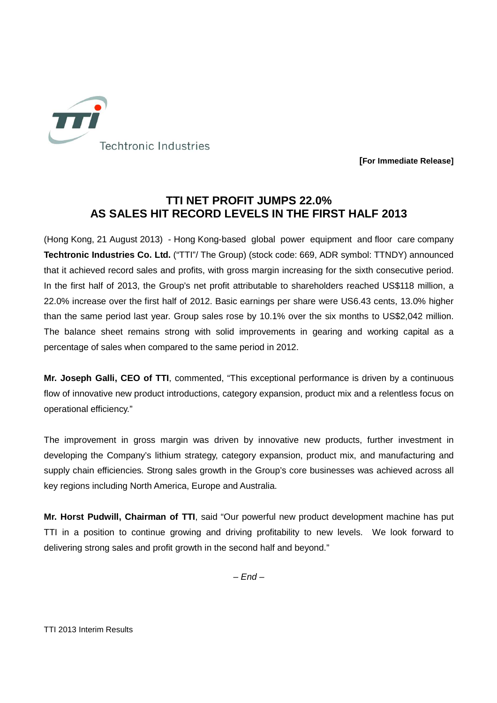

**[For Immediate Release]** 

## **TTI NET PROFIT JUMPS 22.0% AS SALES HIT RECORD LEVELS IN THE FIRST HALF 2013**

(Hong Kong, 21 August 2013) - Hong Kong-based global power equipment and floor care company **Techtronic Industries Co. Ltd.** ("TTI"/ The Group) (stock code: 669, ADR symbol: TTNDY) announced that it achieved record sales and profits, with gross margin increasing for the sixth consecutive period. In the first half of 2013, the Group's net profit attributable to shareholders reached US\$118 million, a 22.0% increase over the first half of 2012. Basic earnings per share were US6.43 cents, 13.0% higher than the same period last year. Group sales rose by 10.1% over the six months to US\$2,042 million. The balance sheet remains strong with solid improvements in gearing and working capital as a percentage of sales when compared to the same period in 2012.

**Mr. Joseph Galli, CEO of TTI**, commented, "This exceptional performance is driven by a continuous flow of innovative new product introductions, category expansion, product mix and a relentless focus on operational efficiency."

The improvement in gross margin was driven by innovative new products, further investment in developing the Company's lithium strategy, category expansion, product mix, and manufacturing and supply chain efficiencies. Strong sales growth in the Group's core businesses was achieved across all key regions including North America, Europe and Australia.

**Mr. Horst Pudwill, Chairman of TTI**, said "Our powerful new product development machine has put TTI in a position to continue growing and driving profitability to new levels. We look forward to delivering strong sales and profit growth in the second half and beyond."

 $-$  End  $-$ 

TTI 2013 Interim Results